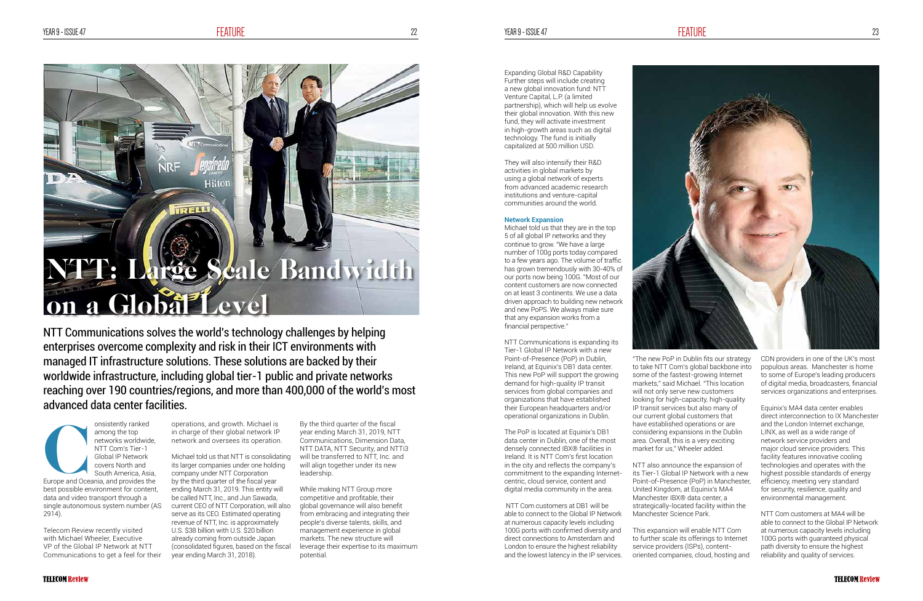onsistently ranked among the top networks worldwide, NTT Com's Tier-1 Global IP Network covers North and South America, Asia, onsistently ranked<br>
among the top<br>
networks worldwide,<br>
NTT Com's Tier-1<br>
Global IP Network<br>
covers North and<br>
South America, Asia,<br>
Europe and Oceania, and provides the best possible environment for content, data and video transport through a single autonomous system number (AS 2914).

Telecom Review recently visited with Michael Wheeler, Executive VP of the Global IP Network at NTT Communications to get a feel for their

operations, and growth. Michael is in charge of their global network IP network and oversees its operation.

> While making NTT Group more competitive and profitable, their global governance will also benefit from embracing and integrating their people's diverse talents, skills, and management experience in global markets. The new structure will leverage their expertise to its maximum potential

Michael told us that NTT is consolidating its larger companies under one holding company under NTT Corporation by the third quarter of the fiscal year ending March 31, 2019. This entity will be called NTT, Inc., and Jun Sawada, current CEO of NTT Corporation, will also serve as its CEO. Estimated operating revenue of NTT, Inc. is approximately U.S. \$38 billion with U.S. \$20 billion already coming from outside Japan (consolidated figures, based on the fiscal year ending March 31, 2018).

# NTT: Large Scale Bandwidth on a Global Level

Hilto

TRELL

By the third quarter of the fiscal year ending March 31, 2019, NTT Communications, Dimension Data, NTT DATA, NTT Security, and NTTi3 will be transferred to NTT, Inc. and will align together under its new leadership.

NTT Communications solves the world's technology challenges by helping enterprises overcome complexity and risk in their ICT environments with managed IT infrastructure solutions. These solutions are backed by their worldwide infrastructure, including global tier-1 public and private networks reaching over 190 countries/regions, and more than 400,000 of the world's most advanced data center facilities.

Expanding Global R&D Capability Further steps will include creating a new global innovation fund: NTT Venture Capital, L.P. (a limited partnership), which will help us evolve their global innovation. With this new fund, they will activate investment in high-growth areas such as digital technology. The fund is initially capitalized at 500 million USD.

They will also intensify their R&D activities in global markets by using a global network of experts from advanced academic research institutions and venture-capital communities around the world.

# **Network Expansion**

Michael told us that they are in the top 5 of all global IP networks and they continue to grow. "We have a large number of 100g ports today compared to a few years ago. The volume of traffic has grown tremendously with 30-40% of our ports now being 100G. "Most of our content customers are now connected on at least 3 continents. We use a data driven approach to building new network and new PoPS. We always make sure that any expansion works from a

financial perspective."

NTT Communications is expanding its Tier-1 Global IP Network with a new Point-of-Presence (PoP) in Dublin, Ireland, at Equinix's DB1 data center. This new PoP will support the growing demand for high-quality IP transit services from global companies and organizations that have established their European headquarters and/or

operational organizations in Dublin.

The PoP is located at Equinix's DB1 data center in Dublin, one of the most densely connected IBX® facilities in Ireland. It is NTT Com's first location in the city and reflects the company's commitment to the expanding Internetcentric, cloud service, content and digital media community in the area.

 NTT Com customers at DB1 will be able to connect to the Global IP Network at numerous capacity levels including 100G ports with confirmed diversity and direct connections to Amsterdam and London to ensure the highest reliability and the lowest latency in the IP services.

"The new PoP in Dublin fits our strategy to take NTT Com's global backbone into some of the fastest-growing Internet markets," said Michael. "This location will not only serve new customers looking for high-capacity, high-quality IP transit services but also many of our current global customers that have established operations or are considering expansions in the Dublin area. Overall, this is a very exciting market for us," Wheeler added.

NTT also announce the expansion of its Tier-1 Global IP Network with a new Point-of-Presence (PoP) in Manchester, United Kingdom, at Equinix's MA4 Manchester IBX® data center, a strategically-located facility within the Manchester Science Park.

This expansion will enable NTT Com to further scale its offerings to Internet service providers (ISPs), contentoriented companies, cloud, hosting and



CDN providers in one of the UK's most populous areas. Manchester is home to some of Europe's leading producers of digital media, broadcasters, financial services organizations and enterprises.

Equinix's MA4 data center enables direct interconnection to IX Manchester and the London Internet exchange, LINX, as well as a wide range of network service providers and major cloud service providers. This facility features innovative cooling technologies and operates with the highest possible standards of energy efficiency, meeting very standard for security, resilience, quality and environmental management.

NTT Com customers at MA4 will be able to connect to the Global IP Network at numerous capacity levels including 100G ports with guaranteed physical path diversity to ensure the highest reliability and quality of services.